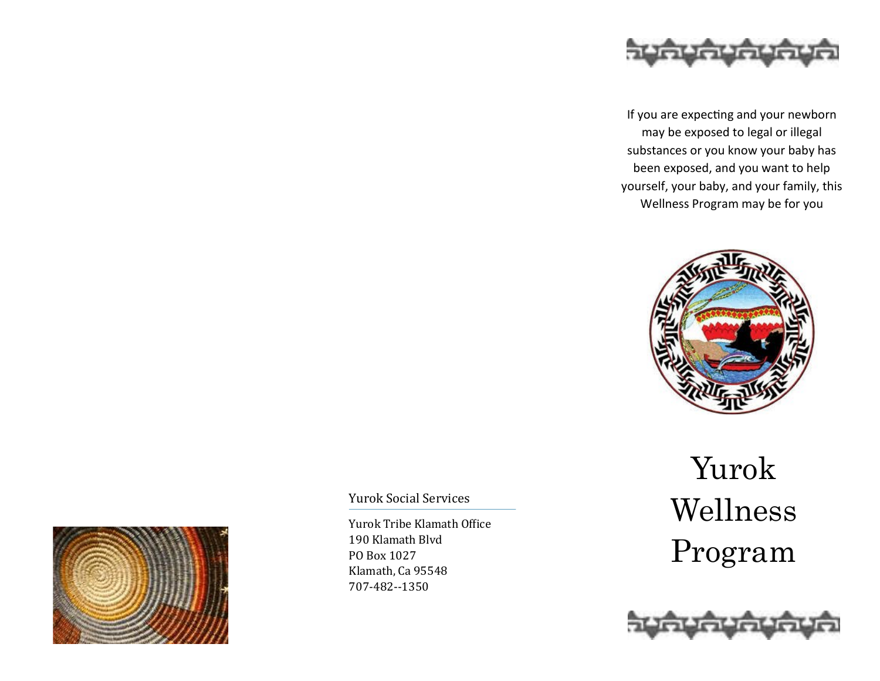

If you are expecting and your newborn may be exposed to legal or illegal substances or you know your baby has been exposed, and you want to help yourself, your baby, and your family, this Wellness Program may be for you





Yurok Social Services

Yurok Tribe Klamath Office 190 Klamath Blvd PO Box 1027 Klamath, Ca 95548 707-482--1350

# Yurok Wellness Program